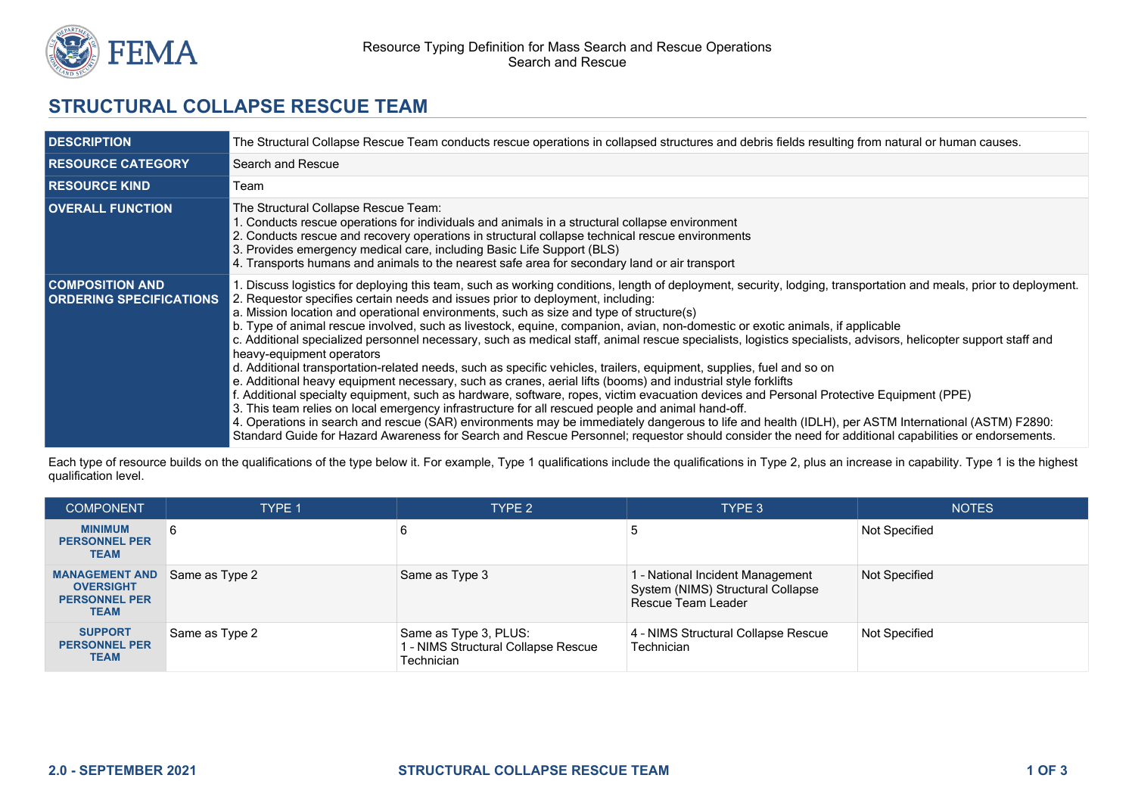

## **STRUCTURAL COLLAPSE RESCUE TEAM**

| <b>IDESCRIPTION</b>                                      | The Structural Collapse Rescue Team conducts rescue operations in collapsed structures and debris fields resulting from natural or human causes.                                                                                                                                                                                                                                                                                                                                                                                                                                                                                                                                                                                                                                                                                                                                                                                                                                                                                                                                                                                                                                                                                                                                                                                                                                                                                                                                      |  |  |
|----------------------------------------------------------|---------------------------------------------------------------------------------------------------------------------------------------------------------------------------------------------------------------------------------------------------------------------------------------------------------------------------------------------------------------------------------------------------------------------------------------------------------------------------------------------------------------------------------------------------------------------------------------------------------------------------------------------------------------------------------------------------------------------------------------------------------------------------------------------------------------------------------------------------------------------------------------------------------------------------------------------------------------------------------------------------------------------------------------------------------------------------------------------------------------------------------------------------------------------------------------------------------------------------------------------------------------------------------------------------------------------------------------------------------------------------------------------------------------------------------------------------------------------------------------|--|--|
| <b>RESOURCE CATEGORY</b>                                 | Search and Rescue                                                                                                                                                                                                                                                                                                                                                                                                                                                                                                                                                                                                                                                                                                                                                                                                                                                                                                                                                                                                                                                                                                                                                                                                                                                                                                                                                                                                                                                                     |  |  |
| <b>RESOURCE KIND</b>                                     | Team                                                                                                                                                                                                                                                                                                                                                                                                                                                                                                                                                                                                                                                                                                                                                                                                                                                                                                                                                                                                                                                                                                                                                                                                                                                                                                                                                                                                                                                                                  |  |  |
| <b>OVERALL FUNCTION</b>                                  | The Structural Collapse Rescue Team:<br>1. Conducts rescue operations for individuals and animals in a structural collapse environment<br>2. Conducts rescue and recovery operations in structural collapse technical rescue environments<br>3. Provides emergency medical care, including Basic Life Support (BLS)<br>4. Transports humans and animals to the nearest safe area for secondary land or air transport                                                                                                                                                                                                                                                                                                                                                                                                                                                                                                                                                                                                                                                                                                                                                                                                                                                                                                                                                                                                                                                                  |  |  |
| <b>COMPOSITION AND</b><br><b>ORDERING SPECIFICATIONS</b> | 1. Discuss logistics for deploying this team, such as working conditions, length of deployment, security, lodging, transportation and meals, prior to deployment.<br>2. Requestor specifies certain needs and issues prior to deployment, including:<br>a. Mission location and operational environments, such as size and type of structure(s)<br>b. Type of animal rescue involved, such as livestock, equine, companion, avian, non-domestic or exotic animals, if applicable<br>c. Additional specialized personnel necessary, such as medical staff, animal rescue specialists, logistics specialists, advisors, helicopter support staff and<br>heavy-equipment operators<br>d. Additional transportation-related needs, such as specific vehicles, trailers, equipment, supplies, fuel and so on<br>e. Additional heavy equipment necessary, such as cranes, aerial lifts (booms) and industrial style forklifts<br>f. Additional specialty equipment, such as hardware, software, ropes, victim evacuation devices and Personal Protective Equipment (PPE)<br>3. This team relies on local emergency infrastructure for all rescued people and animal hand-off.<br>4. Operations in search and rescue (SAR) environments may be immediately dangerous to life and health (IDLH), per ASTM International (ASTM) F2890:<br>Standard Guide for Hazard Awareness for Search and Rescue Personnel; requestor should consider the need for additional capabilities or endorsements. |  |  |

Each type of resource builds on the qualifications of the type below it. For example, Type 1 qualifications include the qualifications in Type 2, plus an increase in capability. Type 1 is the highest qualification level.

| <b>COMPONENT</b>                                                                 | <b>TYPE 1</b>  | TYPE 2                                                                     | TYPE 3                                                                                      | <b>NOTES</b>  |
|----------------------------------------------------------------------------------|----------------|----------------------------------------------------------------------------|---------------------------------------------------------------------------------------------|---------------|
| <b>MINIMUM</b><br><b>PERSONNEL PER</b><br><b>TEAM</b>                            | 6              |                                                                            |                                                                                             | Not Specified |
| <b>MANAGEMENT AND</b><br><b>OVERSIGHT</b><br><b>PERSONNEL PER</b><br><b>TEAM</b> | Same as Type 2 | Same as Type 3                                                             | 1 - National Incident Management<br>System (NIMS) Structural Collapse<br>Rescue Team Leader | Not Specified |
| <b>SUPPORT</b><br><b>PERSONNEL PER</b><br><b>TEAM</b>                            | Same as Type 2 | Same as Type 3, PLUS:<br>1 - NIMS Structural Collapse Rescue<br>Technician | 4 - NIMS Structural Collapse Rescue<br>Technician                                           | Not Specified |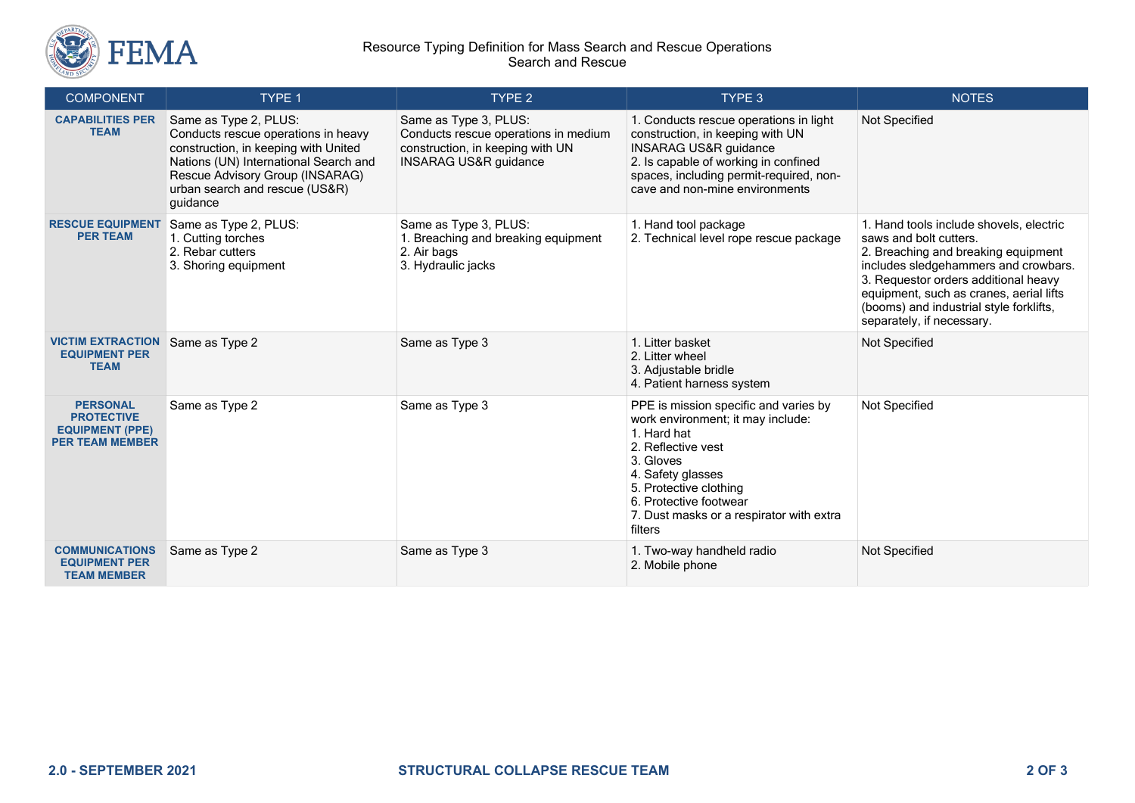

## Resource Typing Definition for Mass Search and Rescue Operations Search and Rescue

| <b>COMPONENT</b>                                                                         | TYPE 1                                                                                                                                                                                                                         | TYPE <sub>2</sub>                                                                                                                     | TYPE 3                                                                                                                                                                                                                                                       | <b>NOTES</b>                                                                                                                                                                                                                                                                                                |
|------------------------------------------------------------------------------------------|--------------------------------------------------------------------------------------------------------------------------------------------------------------------------------------------------------------------------------|---------------------------------------------------------------------------------------------------------------------------------------|--------------------------------------------------------------------------------------------------------------------------------------------------------------------------------------------------------------------------------------------------------------|-------------------------------------------------------------------------------------------------------------------------------------------------------------------------------------------------------------------------------------------------------------------------------------------------------------|
| <b>CAPABILITIES PER</b><br><b>TEAM</b>                                                   | Same as Type 2, PLUS:<br>Conducts rescue operations in heavy<br>construction, in keeping with United<br>Nations (UN) International Search and<br>Rescue Advisory Group (INSARAG)<br>urban search and rescue (US&R)<br>guidance | Same as Type 3, PLUS:<br>Conducts rescue operations in medium<br>construction, in keeping with UN<br><b>INSARAG US&amp;R guidance</b> | 1. Conducts rescue operations in light<br>construction, in keeping with UN<br><b>INSARAG US&amp;R guidance</b><br>2. Is capable of working in confined<br>spaces, including permit-required, non-<br>cave and non-mine environments                          | Not Specified                                                                                                                                                                                                                                                                                               |
| <b>RESCUE EQUIPMENT</b><br><b>PER TEAM</b>                                               | Same as Type 2, PLUS:<br>1. Cutting torches<br>2. Rebar cutters<br>3. Shoring equipment                                                                                                                                        | Same as Type 3, PLUS:<br>1. Breaching and breaking equipment<br>2. Air bags<br>3. Hydraulic jacks                                     | 1. Hand tool package<br>2. Technical level rope rescue package                                                                                                                                                                                               | 1. Hand tools include shovels, electric<br>saws and bolt cutters.<br>2. Breaching and breaking equipment<br>includes sledgehammers and crowbars.<br>3. Requestor orders additional heavy<br>equipment, such as cranes, aerial lifts<br>(booms) and industrial style forklifts,<br>separately, if necessary. |
| <b>VICTIM EXTRACTION</b><br><b>EQUIPMENT PER</b><br><b>TEAM</b>                          | Same as Type 2                                                                                                                                                                                                                 | Same as Type 3                                                                                                                        | 1. Litter basket<br>2. Litter wheel<br>3. Adjustable bridle<br>4. Patient harness system                                                                                                                                                                     | Not Specified                                                                                                                                                                                                                                                                                               |
| <b>PERSONAL</b><br><b>PROTECTIVE</b><br><b>EQUIPMENT (PPE)</b><br><b>PER TEAM MEMBER</b> | Same as Type 2                                                                                                                                                                                                                 | Same as Type 3                                                                                                                        | PPE is mission specific and varies by<br>work environment; it may include:<br>1. Hard hat<br>2. Reflective vest<br>3. Gloves<br>4. Safety glasses<br>5. Protective clothing<br>6. Protective footwear<br>7. Dust masks or a respirator with extra<br>filters | Not Specified                                                                                                                                                                                                                                                                                               |
| <b>COMMUNICATIONS</b><br><b>EQUIPMENT PER</b><br><b>TEAM MEMBER</b>                      | Same as Type 2                                                                                                                                                                                                                 | Same as Type 3                                                                                                                        | 1. Two-way handheld radio<br>2. Mobile phone                                                                                                                                                                                                                 | Not Specified                                                                                                                                                                                                                                                                                               |